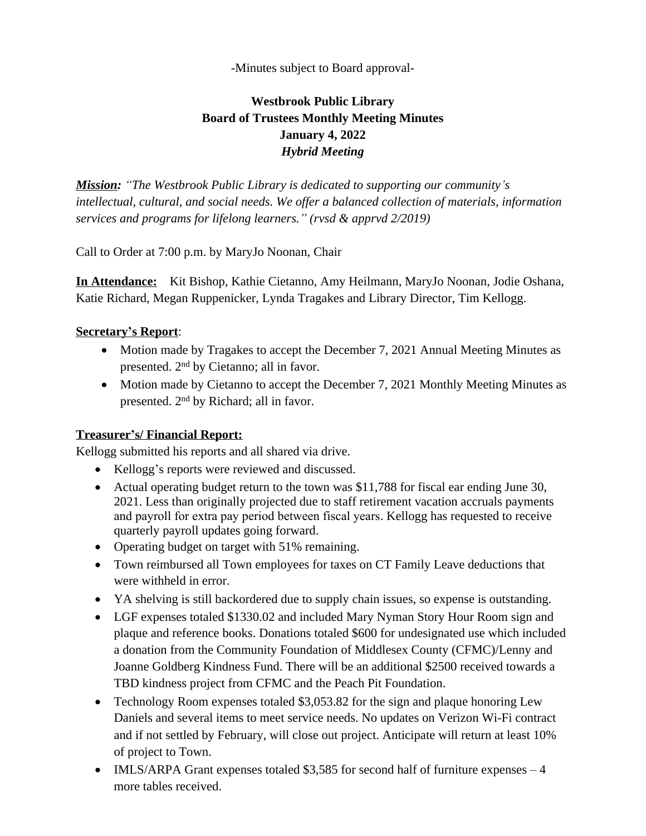-Minutes subject to Board approval-

# **Westbrook Public Library Board of Trustees Monthly Meeting Minutes January 4, 2022** *Hybrid Meeting*

*Mission: "The Westbrook Public Library is dedicated to supporting our community's intellectual, cultural, and social needs. We offer a balanced collection of materials, information services and programs for lifelong learners." (rvsd & apprvd 2/2019)*

Call to Order at 7:00 p.m. by MaryJo Noonan, Chair

**In Attendance:** Kit Bishop, Kathie Cietanno, Amy Heilmann, MaryJo Noonan, Jodie Oshana, Katie Richard, Megan Ruppenicker, Lynda Tragakes and Library Director, Tim Kellogg.

### **Secretary's Report**:

- Motion made by Tragakes to accept the December 7, 2021 Annual Meeting Minutes as presented. 2nd by Cietanno; all in favor.
- Motion made by Cietanno to accept the December 7, 2021 Monthly Meeting Minutes as presented. 2nd by Richard; all in favor.

#### **Treasurer's/ Financial Report:**

Kellogg submitted his reports and all shared via drive.

- Kellogg's reports were reviewed and discussed.
- Actual operating budget return to the town was \$11,788 for fiscal ear ending June 30, 2021. Less than originally projected due to staff retirement vacation accruals payments and payroll for extra pay period between fiscal years. Kellogg has requested to receive quarterly payroll updates going forward.
- Operating budget on target with 51% remaining.
- Town reimbursed all Town employees for taxes on CT Family Leave deductions that were withheld in error.
- YA shelving is still backordered due to supply chain issues, so expense is outstanding.
- LGF expenses totaled \$1330.02 and included Mary Nyman Story Hour Room sign and plaque and reference books. Donations totaled \$600 for undesignated use which included a donation from the Community Foundation of Middlesex County (CFMC)/Lenny and Joanne Goldberg Kindness Fund. There will be an additional \$2500 received towards a TBD kindness project from CFMC and the Peach Pit Foundation.
- Technology Room expenses totaled \$3,053.82 for the sign and plaque honoring Lew Daniels and several items to meet service needs. No updates on Verizon Wi-Fi contract and if not settled by February, will close out project. Anticipate will return at least 10% of project to Town.
- IMLS/ARPA Grant expenses totaled \$3,585 for second half of furniture expenses 4 more tables received.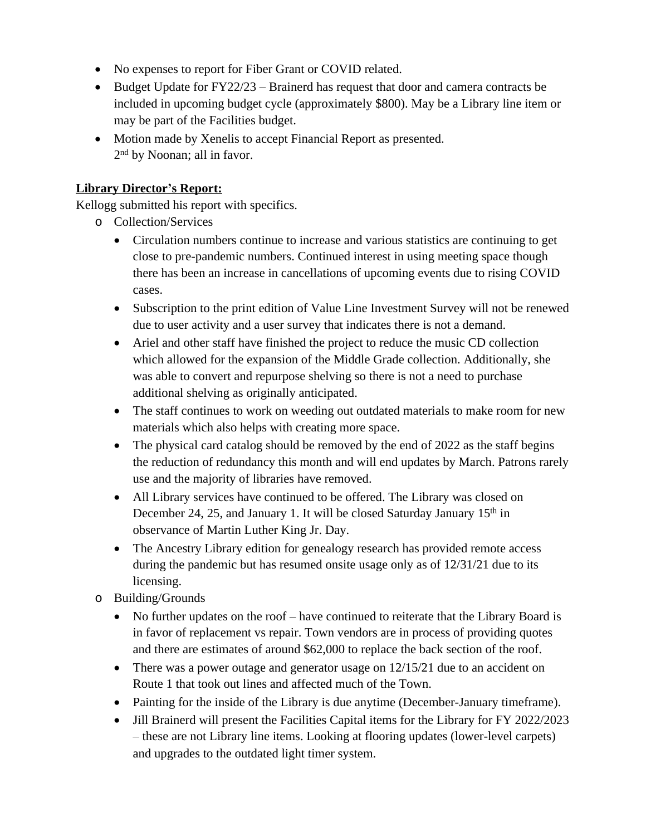- No expenses to report for Fiber Grant or COVID related.
- Budget Update for FY22/23 Brainerd has request that door and camera contracts be included in upcoming budget cycle (approximately \$800). May be a Library line item or may be part of the Facilities budget.
- Motion made by Xenelis to accept Financial Report as presented. 2 nd by Noonan; all in favor.

## **Library Director's Report:**

Kellogg submitted his report with specifics.

- o Collection/Services
	- Circulation numbers continue to increase and various statistics are continuing to get close to pre-pandemic numbers. Continued interest in using meeting space though there has been an increase in cancellations of upcoming events due to rising COVID cases.
	- Subscription to the print edition of Value Line Investment Survey will not be renewed due to user activity and a user survey that indicates there is not a demand.
	- Ariel and other staff have finished the project to reduce the music CD collection which allowed for the expansion of the Middle Grade collection. Additionally, she was able to convert and repurpose shelving so there is not a need to purchase additional shelving as originally anticipated.
	- The staff continues to work on weeding out outdated materials to make room for new materials which also helps with creating more space.
	- The physical card catalog should be removed by the end of 2022 as the staff begins the reduction of redundancy this month and will end updates by March. Patrons rarely use and the majority of libraries have removed.
	- All Library services have continued to be offered. The Library was closed on December 24, 25, and January 1. It will be closed Saturday January 15<sup>th</sup> in observance of Martin Luther King Jr. Day.
	- The Ancestry Library edition for genealogy research has provided remote access during the pandemic but has resumed onsite usage only as of 12/31/21 due to its licensing.
- o Building/Grounds
	- No further updates on the roof have continued to reiterate that the Library Board is in favor of replacement vs repair. Town vendors are in process of providing quotes and there are estimates of around \$62,000 to replace the back section of the roof.
	- There was a power outage and generator usage on  $12/15/21$  due to an accident on Route 1 that took out lines and affected much of the Town.
	- Painting for the inside of the Library is due anytime (December-January timeframe).
	- Jill Brainerd will present the Facilities Capital items for the Library for FY 2022/2023 – these are not Library line items. Looking at flooring updates (lower-level carpets) and upgrades to the outdated light timer system.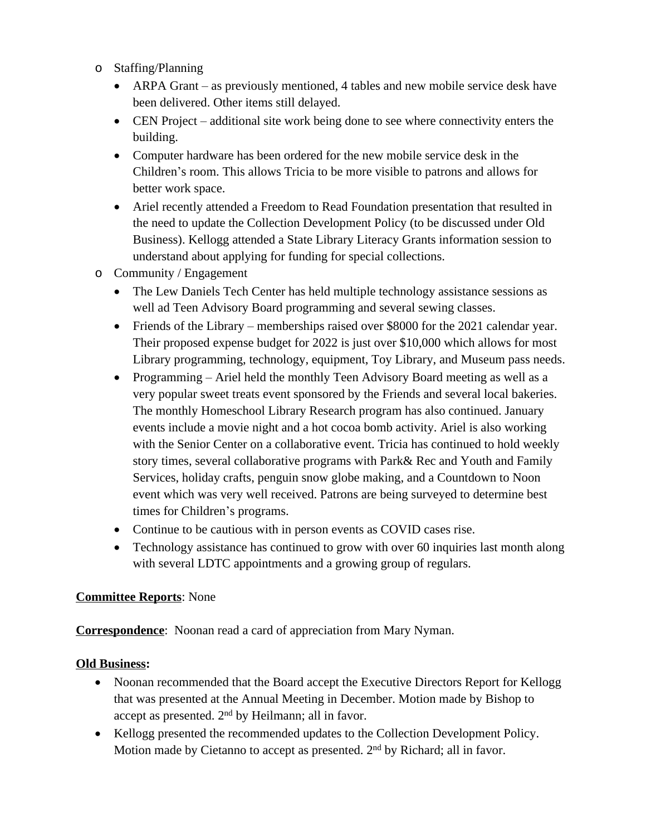- o Staffing/Planning
	- ARPA Grant as previously mentioned, 4 tables and new mobile service desk have been delivered. Other items still delayed.
	- CEN Project additional site work being done to see where connectivity enters the building.
	- Computer hardware has been ordered for the new mobile service desk in the Children's room. This allows Tricia to be more visible to patrons and allows for better work space.
	- Ariel recently attended a Freedom to Read Foundation presentation that resulted in the need to update the Collection Development Policy (to be discussed under Old Business). Kellogg attended a State Library Literacy Grants information session to understand about applying for funding for special collections.
- o Community / Engagement
	- The Lew Daniels Tech Center has held multiple technology assistance sessions as well ad Teen Advisory Board programming and several sewing classes.
	- Friends of the Library memberships raised over \$8000 for the 2021 calendar year. Their proposed expense budget for 2022 is just over \$10,000 which allows for most Library programming, technology, equipment, Toy Library, and Museum pass needs.
	- Programming Ariel held the monthly Teen Advisory Board meeting as well as a very popular sweet treats event sponsored by the Friends and several local bakeries. The monthly Homeschool Library Research program has also continued. January events include a movie night and a hot cocoa bomb activity. Ariel is also working with the Senior Center on a collaborative event. Tricia has continued to hold weekly story times, several collaborative programs with Park& Rec and Youth and Family Services, holiday crafts, penguin snow globe making, and a Countdown to Noon event which was very well received. Patrons are being surveyed to determine best times for Children's programs.
	- Continue to be cautious with in person events as COVID cases rise.
	- Technology assistance has continued to grow with over 60 inquiries last month along with several LDTC appointments and a growing group of regulars.

#### **Committee Reports**: None

**Correspondence**: Noonan read a card of appreciation from Mary Nyman.

#### **Old Business:**

- Noonan recommended that the Board accept the Executive Directors Report for Kellogg that was presented at the Annual Meeting in December. Motion made by Bishop to accept as presented. 2nd by Heilmann; all in favor.
- Kellogg presented the recommended updates to the Collection Development Policy. Motion made by Cietanno to accept as presented. 2<sup>nd</sup> by Richard; all in favor.